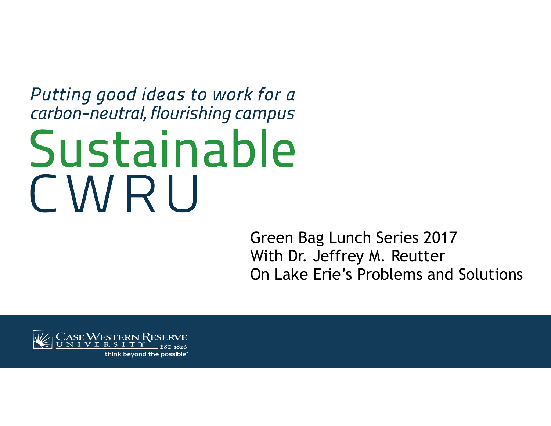#### Putting good ideas to work for a carbon-neutral, flourishing campus

# Sustainable CWRU

Green Bag Lunch Series 2017 With Dr. Jeffrey M. Reutter On Lake Erie's Problems and Solutions



think beyond the possible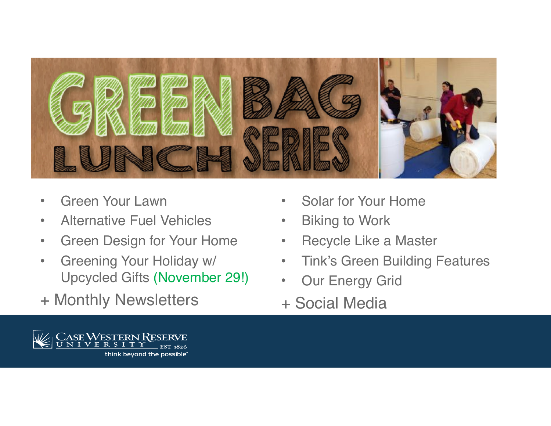

- •Green Your Lawn
- $\bullet$ Alternative Fuel Vehicles
- •Green Design for Your Home
- • Greening Your Holiday w/ Upcycled Gifts (November 29!)
- + Monthly Newsletters
- $\bullet$ Solar for Your Home
- $\bullet$ Biking to Work
- $\bullet$ Recycle Like a Master
- $\bullet$ Tink's Green Building Features
- $\bullet$ Our Energy Grid
- + Social Media

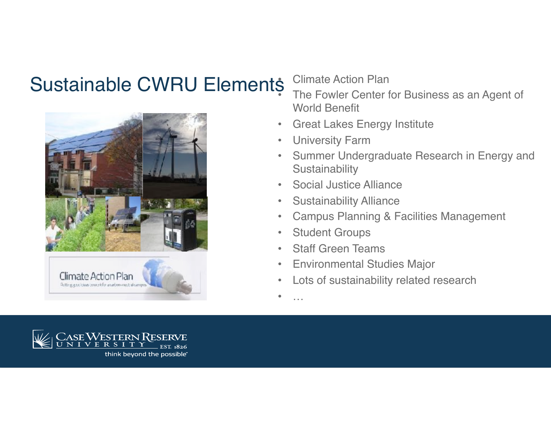#### Sustainable CWRU Elements Climate Action Plan •





 The Fowler Center for Business as an Agent of World Benefit

- $\bullet$ Great Lakes Energy Institute
- •University Farm
- • Summer Undergraduate Research in Energy and **Sustainability**
- •Social Justice Alliance
- $\bullet$ Sustainability Alliance
- •Campus Planning & Facilities Management
- $\bullet$ Student Groups
- •Staff Green Teams
- $\bullet$ Environmental Studies Major
- •Lots of sustainability related research

•…

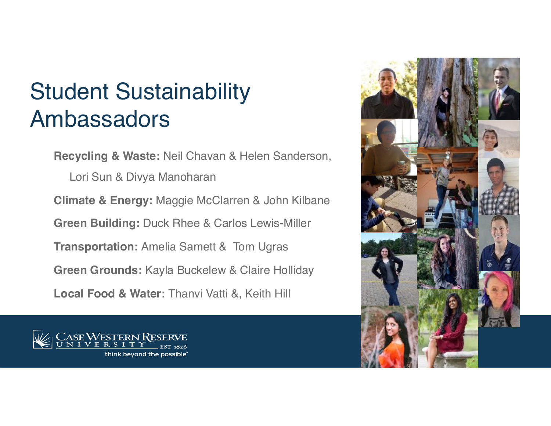## Student Sustainability Ambassadors

**Recycling & Waste:** Neil Chavan & Helen Sanderson, Lori Sun & Divya Manoharan **Climate & Energy:** Maggie McClarren & John Kilbane **Green Building:** Duck Rhee & Carlos Lewis-Miller **Transportation:** Amelia Samett & Tom Ugras **Green Grounds:** Kayla Buckelew & Claire Holliday **Local Food & Water:** Thanvi Vatti &, Keith Hill



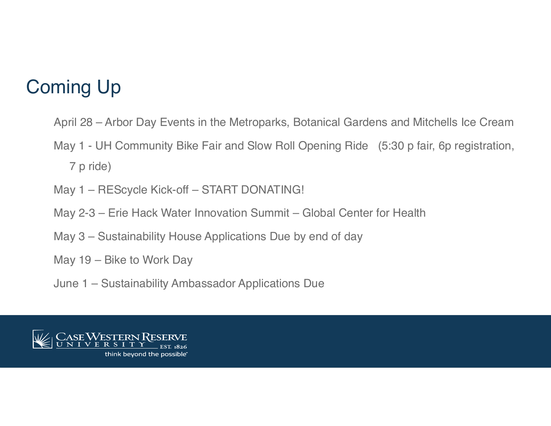### Coming Up

- April 28 Arbor Day Events in the Metroparks, Botanical Gardens and Mitchells Ice Cream
- May 1 UH Community Bike Fair and Slow Roll Opening Ride (5:30 p fair, 6p registration, 7 p ride)
- May 1 REScycle Kick-off START DONATING!
- May 2-3 Erie Hack Water Innovation Summit Global Center for Health
- May 3 Sustainability House Applications Due by end of day
- May 19 Bike to Work Day
- June 1 Sustainability Ambassador Applications Due

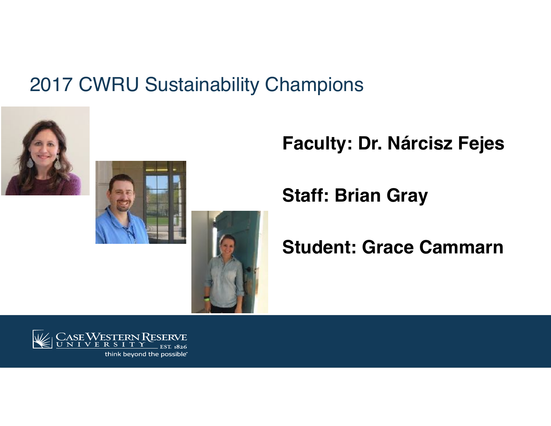#### 2017 CWRU Sustainability Champions





#### **Faculty: Dr. Nárcisz Fejes**

**Staff: Brian Gray**

#### **Student: Grace Cammarn**



think beyond the possible<sup>®</sup>